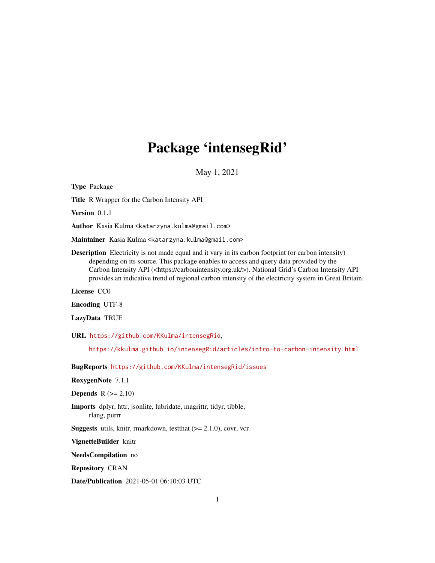## Package 'intensegRid'

May 1, 2021

Type Package Title R Wrapper for the Carbon Intensity API Version 0.1.1 Author Kasia Kulma <katarzyna.kulma@gmail.com> Maintainer Kasia Kulma <katarzyna.kulma@gmail.com> Description Electricity is not made equal and it vary in its carbon footprint (or carbon intensity) depending on its source. This package enables to access and query data provided by the Carbon Intensity API (<https://carbonintensity.org.uk/>). National Grid's Carbon Intensity API provides an indicative trend of regional carbon intensity of the electricity system in Great Britain. License CC0 Encoding UTF-8 LazyData TRUE URL <https://github.com/KKulma/intensegRid>, <https://kkulma.github.io/intensegRid/articles/intro-to-carbon-intensity.html> BugReports <https://github.com/KKulma/intensegRid/issues> RoxygenNote 7.1.1 Depends  $R$  ( $>= 2.10$ ) Imports dplyr, httr, jsonlite, lubridate, magrittr, tidyr, tibble, rlang, purrr **Suggests** utils, knitr, rmarkdown, test that  $(>= 2.1.0)$ , covr, vcr VignetteBuilder knitr NeedsCompilation no Repository CRAN Date/Publication 2021-05-01 06:10:03 UTC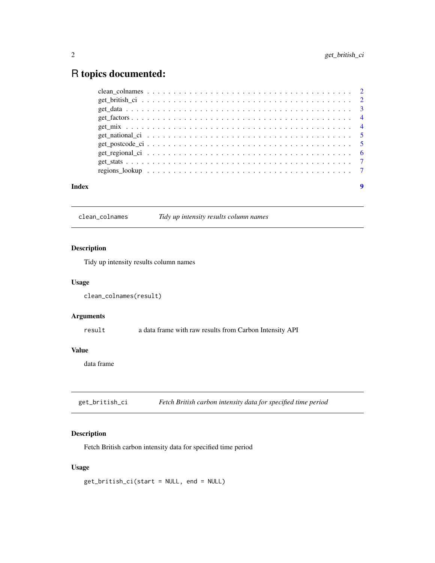### <span id="page-1-0"></span>R topics documented:

| Index |  |  |  |  |  |  |  |  |  |  |  |  |  |  |  |  |  |
|-------|--|--|--|--|--|--|--|--|--|--|--|--|--|--|--|--|--|

clean\_colnames *Tidy up intensity results column names*

#### Description

Tidy up intensity results column names

#### Usage

```
clean_colnames(result)
```
#### Arguments

result a data frame with raw results from Carbon Intensity API

#### Value

data frame

get\_british\_ci *Fetch British carbon intensity data for specified time period*

#### Description

Fetch British carbon intensity data for specified time period

#### Usage

get\_british\_ci(start = NULL, end = NULL)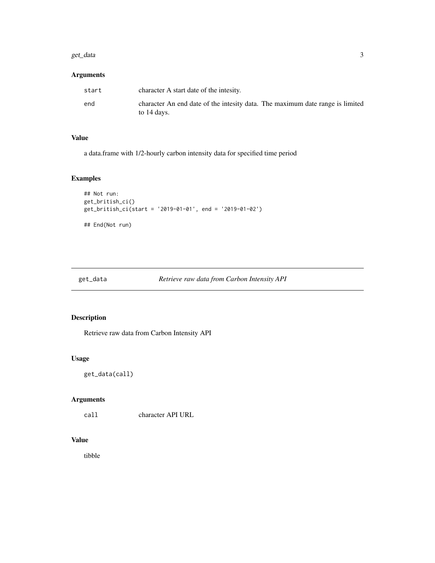#### <span id="page-2-0"></span>get\_data 3

#### Arguments

| start | character A start date of the intesity.                                                      |
|-------|----------------------------------------------------------------------------------------------|
| end   | character An end date of the intesity data. The maximum date range is limited<br>to 14 days. |

#### Value

a data.frame with 1/2-hourly carbon intensity data for specified time period

#### Examples

```
## Not run:
get_british_ci()
get_british_ci(start = '2019-01-01', end = '2019-01-02')
## End(Not run)
```
#### Description

Retrieve raw data from Carbon Intensity API

#### Usage

get\_data(call)

#### Arguments

call character API URL

#### Value

tibble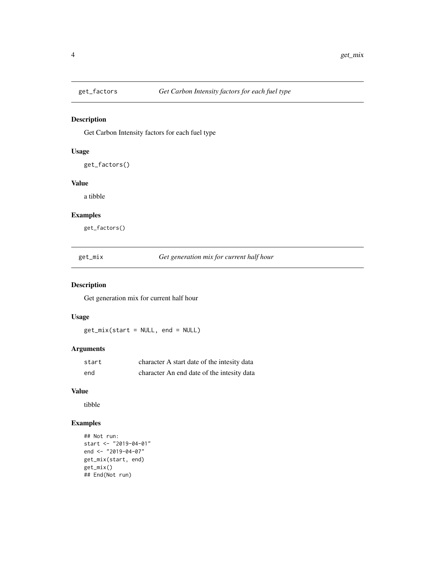<span id="page-3-0"></span>

#### Description

Get Carbon Intensity factors for each fuel type

#### Usage

get\_factors()

#### Value

a tibble

#### Examples

get\_factors()

get\_mix *Get generation mix for current half hour*

#### Description

Get generation mix for current half hour

#### Usage

get\_mix(start = NULL, end = NULL)

#### Arguments

| start | character A start date of the intesity data |
|-------|---------------------------------------------|
| end   | character An end date of the intesity data  |

#### Value

tibble

#### Examples

```
## Not run:
start <- "2019-04-01"
end <- "2019-04-07"
get_mix(start, end)
get_mix()
## End(Not run)
```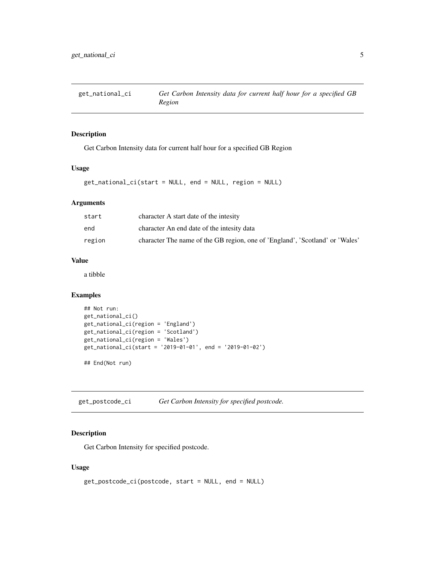<span id="page-4-0"></span>

#### Description

Get Carbon Intensity data for current half hour for a specified GB Region

#### Usage

```
get_national_ci(start = NULL, end = NULL, region = NULL)
```
#### Arguments

| start  | character A start date of the intesity                                       |
|--------|------------------------------------------------------------------------------|
| end    | character An end date of the intesity data                                   |
| region | character The name of the GB region, one of 'England', 'Scotland' or 'Wales' |

#### Value

a tibble

#### Examples

```
## Not run:
get_national_ci()
get_national_ci(region = 'England')
get_national_ci(region = 'Scotland')
get_national_ci(region = 'Wales')
get_national_ci(start = '2019-01-01', end = '2019-01-02')
```
## End(Not run)

get\_postcode\_ci *Get Carbon Intensity for specified postcode.*

#### Description

Get Carbon Intensity for specified postcode.

#### Usage

```
get_postcode_ci(postcode, start = NULL, end = NULL)
```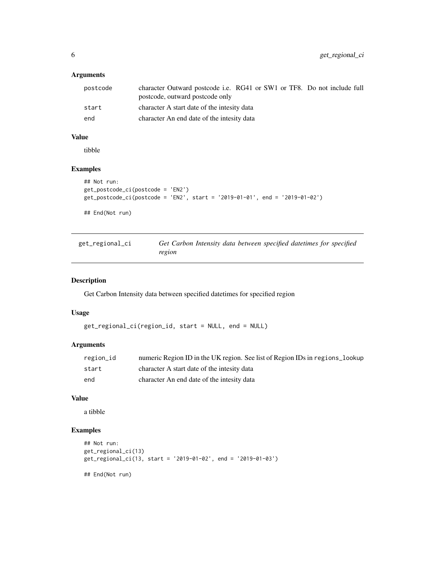#### <span id="page-5-0"></span>Arguments

| postcode | character Outward postcode i.e. RG41 or SW1 or TF8. Do not include full<br>postcode, outward postcode only |
|----------|------------------------------------------------------------------------------------------------------------|
| start    | character A start date of the intesity data                                                                |
| end      | character An end date of the intesity data                                                                 |

#### Value

tibble

#### Examples

```
## Not run:
get_postcode_ci(postcode = 'EN2')
get_postcode_ci(postcode = 'EN2', start = '2019-01-01', end = '2019-01-02')
## End(Not run)
```

| get_regional_ci | Get Carbon Intensity data between specified datetimes for specified |
|-----------------|---------------------------------------------------------------------|
|                 | region                                                              |

#### Description

Get Carbon Intensity data between specified datetimes for specified region

#### Usage

get\_regional\_ci(region\_id, start = NULL, end = NULL)

#### Arguments

| region_id | numeric Region ID in the UK region. See list of Region IDs in regions_lookup |
|-----------|------------------------------------------------------------------------------|
| start     | character A start date of the intesity data                                  |
| end       | character An end date of the intesity data                                   |

#### Value

a tibble

#### Examples

```
## Not run:
get_regional_ci(13)
get_regional_ci(13, start = '2019-01-02', end = '2019-01-03')
## End(Not run)
```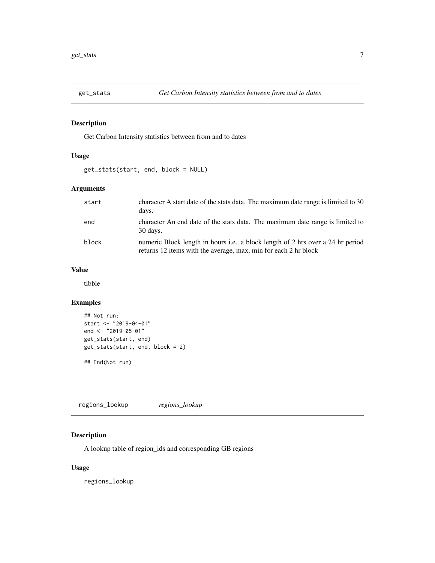<span id="page-6-0"></span>

#### Description

Get Carbon Intensity statistics between from and to dates

#### Usage

get\_stats(start, end, block = NULL)

#### Arguments

| start | character A start date of the stats data. The maximum date range is limited to 30<br>days.                                                               |
|-------|----------------------------------------------------------------------------------------------------------------------------------------------------------|
| end   | character An end date of the stats data. The maximum date range is limited to<br>30 days.                                                                |
| block | numeric Block length in hours <i>i.e.</i> a block length of 2 hrs over a 24 hr period<br>returns 12 items with the average, max, min for each 2 hr block |

#### Value

tibble

#### Examples

```
## Not run:
start <- "2019-04-01"
end <- "2019-05-01"
get_stats(start, end)
get_stats(start, end, block = 2)
## End(Not run)
```
regions\_lookup *regions\_lookup*

#### Description

A lookup table of region\_ids and corresponding GB regions

#### Usage

regions\_lookup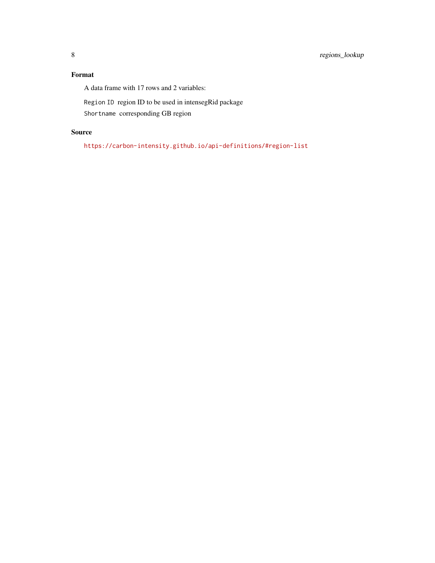#### Format

A data frame with 17 rows and 2 variables:

Region ID region ID to be used in intensegRid package

Shortname corresponding GB region

#### Source

<https://carbon-intensity.github.io/api-definitions/#region-list>